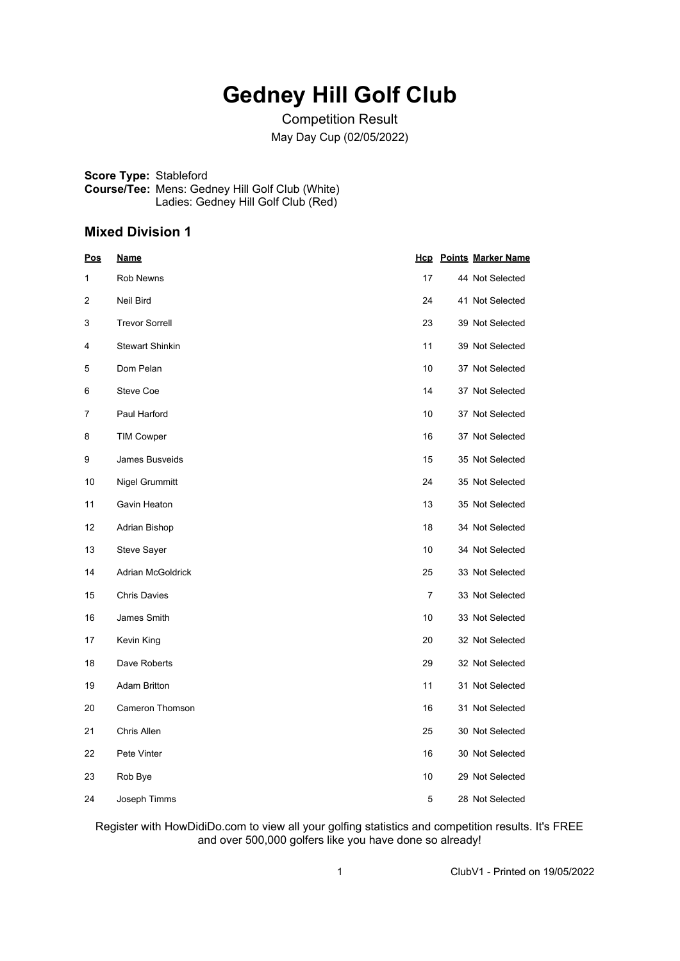## **Gedney Hill Golf Club**

Competition Result May Day Cup (02/05/2022)

**Score Type:** Stableford **Course/Tee:** Mens: Gedney Hill Golf Club (White) Ladies: Gedney Hill Golf Club (Red)

#### **Mixed Division 1**

| Pos | <u>Name</u>              |    | <b>Hcp</b> Points Marker Name |
|-----|--------------------------|----|-------------------------------|
| 1   | Rob Newns                | 17 | 44 Not Selected               |
| 2   | Neil Bird                | 24 | 41 Not Selected               |
| 3   | <b>Trevor Sorrell</b>    | 23 | 39 Not Selected               |
| 4   | <b>Stewart Shinkin</b>   | 11 | 39 Not Selected               |
| 5   | Dom Pelan                | 10 | 37 Not Selected               |
| 6   | Steve Coe                | 14 | 37 Not Selected               |
| 7   | Paul Harford             | 10 | 37 Not Selected               |
| 8   | <b>TIM Cowper</b>        | 16 | 37 Not Selected               |
| 9   | James Busveids           | 15 | 35 Not Selected               |
| 10  | Nigel Grummitt           | 24 | 35 Not Selected               |
| 11  | Gavin Heaton             | 13 | 35 Not Selected               |
| 12  | Adrian Bishop            | 18 | 34 Not Selected               |
| 13  | Steve Sayer              | 10 | 34 Not Selected               |
| 14  | <b>Adrian McGoldrick</b> | 25 | 33 Not Selected               |
| 15  | <b>Chris Davies</b>      | 7  | 33 Not Selected               |
| 16  | James Smith              | 10 | 33 Not Selected               |
| 17  | Kevin King               | 20 | 32 Not Selected               |
| 18  | Dave Roberts             | 29 | 32 Not Selected               |
| 19  | <b>Adam Britton</b>      | 11 | 31 Not Selected               |
| 20  | <b>Cameron Thomson</b>   | 16 | 31 Not Selected               |
| 21  | Chris Allen              | 25 | 30 Not Selected               |
| 22  | Pete Vinter              | 16 | 30 Not Selected               |
| 23  | Rob Bye                  | 10 | 29 Not Selected               |
| 24  | Joseph Timms             | 5  | 28 Not Selected               |

Register with HowDidiDo.com to view all your golfing statistics and competition results. It's FREE and over 500,000 golfers like you have done so already!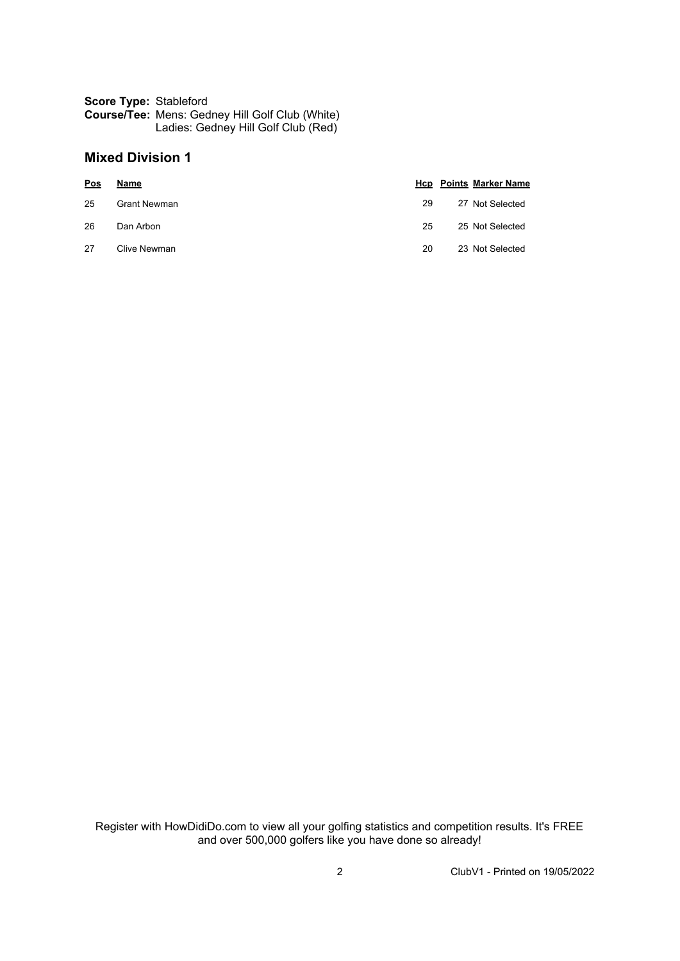#### **Score Type:** Stableford **Course/Tee:** Mens: Gedney Hill Golf Club (White) Ladies: Gedney Hill Golf Club (Red)

#### **Mixed Division 1**

| <b>Pos</b> | Name         |    | <b>Hcp</b> Points Marker Name |
|------------|--------------|----|-------------------------------|
| 25         | Grant Newman | 29 | 27 Not Selected               |
| 26         | Dan Arbon    | 25 | 25 Not Selected               |
| 27         | Clive Newman | 20 | 23 Not Selected               |

Register with HowDidiDo.com to view all your golfing statistics and competition results. It's FREE and over 500,000 golfers like you have done so already!